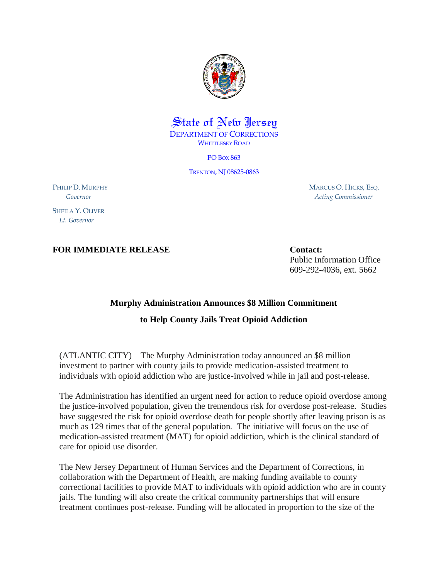

## State of New Jersey DEPARTMENT OF CORRECTIONS WHITTLESEY ROAD

PO BOX 863

TRENTON, NJ 08625-0863

PHILIP D. MURPHY  *Governor*

SHEILA Y. OLIVER  *Lt. Governor*

**FOR IMMEDIATE RELEASE Contact:** 

 MARCUS O. HICKS, ESQ. *Acting Commissioner*

Public Information Office 609-292-4036, ext. 5662

## **Murphy Administration Announces \$8 Million Commitment**

## **to Help County Jails Treat Opioid Addiction**

(ATLANTIC CITY) – The Murphy Administration today announced an \$8 million investment to partner with county jails to provide medication-assisted treatment to individuals with opioid addiction who are justice-involved while in jail and post-release.

The Administration has identified an urgent need for action to reduce opioid overdose among the justice-involved population, given the tremendous risk for overdose post-release. Studies have suggested the risk for opioid overdose death for people shortly after leaving prison is as much as 129 times that of the general population. The initiative will focus on the use of medication-assisted treatment (MAT) for opioid addiction, which is the clinical standard of care for opioid use disorder.

The New Jersey Department of Human Services and the Department of Corrections, in collaboration with the Department of Health, are making funding available to county correctional facilities to provide MAT to individuals with opioid addiction who are in county jails. The funding will also create the critical community partnerships that will ensure treatment continues post-release. Funding will be allocated in proportion to the size of the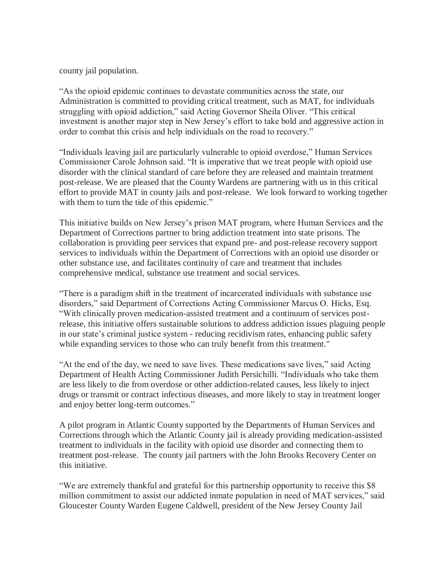county jail population.

"As the opioid epidemic continues to devastate communities across the state, our Administration is committed to providing critical treatment, such as MAT, for individuals struggling with opioid addiction," said Acting Governor Sheila Oliver. "This critical investment is another major step in New Jersey's effort to take bold and aggressive action in order to combat this crisis and help individuals on the road to recovery."

"Individuals leaving jail are particularly vulnerable to opioid overdose," Human Services Commissioner Carole Johnson said. "It is imperative that we treat people with opioid use disorder with the clinical standard of care before they are released and maintain treatment post-release. We are pleased that the County Wardens are partnering with us in this critical effort to provide MAT in county jails and post-release. We look forward to working together with them to turn the tide of this epidemic."

This initiative builds on New Jersey's prison MAT program, where Human Services and the Department of Corrections partner to bring addiction treatment into state prisons. The collaboration is providing peer services that expand pre- and post-release recovery support services to individuals within the Department of Corrections with an opioid use disorder or other substance use, and facilitates continuity of care and treatment that includes comprehensive medical, substance use treatment and social services.

"There is a paradigm shift in the treatment of incarcerated individuals with substance use disorders," said Department of Corrections Acting Commissioner Marcus O. Hicks, Esq. "With clinically proven medication-assisted treatment and a continuum of services postrelease, this initiative offers sustainable solutions to address addiction issues plaguing people in our state's criminal justice system - reducing recidivism rates, enhancing public safety while expanding services to those who can truly benefit from this treatment."

"At the end of the day, we need to save lives. These medications save lives," said Acting Department of Health Acting Commissioner Judith Persichilli. "Individuals who take them are less likely to die from overdose or other addiction-related causes, less likely to inject drugs or transmit or contract infectious diseases, and more likely to stay in treatment longer and enjoy better long-term outcomes."

A pilot program in Atlantic County supported by the Departments of Human Services and Corrections through which the Atlantic County jail is already providing medication-assisted treatment to individuals in the facility with opioid use disorder and connecting them to treatment post-release. The county jail partners with the John Brooks Recovery Center on this initiative.

"We are extremely thankful and grateful for this partnership opportunity to receive this \$8 million commitment to assist our addicted inmate population in need of MAT services," said Gloucester County Warden Eugene Caldwell, president of the New Jersey County Jail